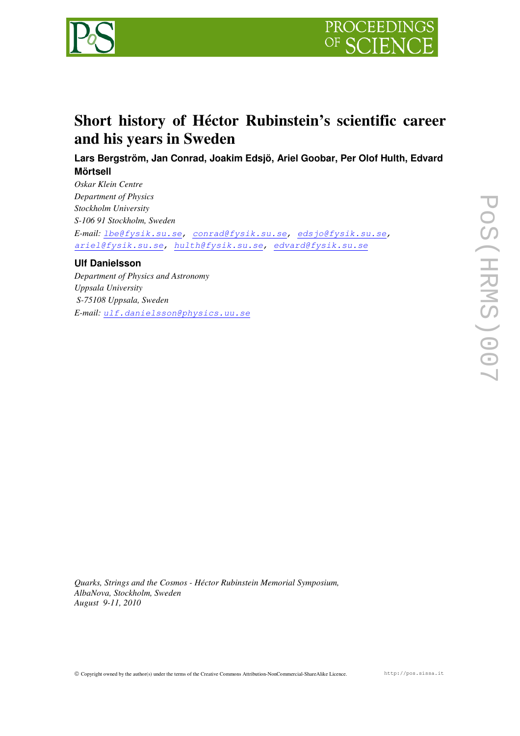



## **Short history of Héctor Rubinstein's scientific career and his years in Sweden**

**Lars Bergström, Jan Conrad, Joakim Edsjö, Ariel Goobar, Per Olof Hulth, Edvard Mörtsell** 

*Oskar Klein Centre Department of Physics Stockholm University S-106 91 Stockholm, Sweden E-mail:* lbe@fysik.su.se, conrad@fysik.su.se, edsjo@fysik.su.se, ariel@fysik.su.se, hulth@fysik.su.se, edvard@fysik.su.se

## **Ulf Danielsson**

*Department of Physics and Astronomy Uppsala University S-75108 Uppsala, Sweden E-mail:* ulf.danielsson@physics.uu.se

*Quarks, Strings and the Cosmos - Héctor Rubinstein Memorial Symposium, AlbaNova, Stockholm, Sweden August 9-11, 2010*

Copyright owned by the author(s) under the terms of the Creative Commons Attribution-NonCommercial-ShareAlike Licence. http://pos.sissa.it